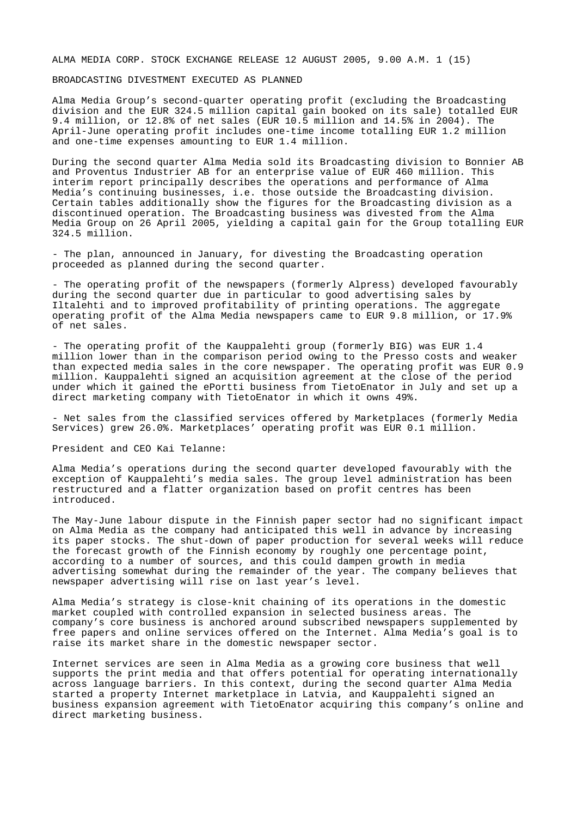## ALMA MEDIA CORP. STOCK EXCHANGE RELEASE 12 AUGUST 2005, 9.00 A.M. 1 (15)

# BROADCASTING DIVESTMENT EXECUTED AS PLANNED

Alma Media Group's second-quarter operating profit (excluding the Broadcasting division and the EUR 324.5 million capital gain booked on its sale) totalled EUR 9.4 million, or 12.8% of net sales (EUR 10.5 million and 14.5% in 2004). The April-June operating profit includes one-time income totalling EUR 1.2 million and one-time expenses amounting to EUR 1.4 million.

During the second quarter Alma Media sold its Broadcasting division to Bonnier AB and Proventus Industrier AB for an enterprise value of EUR 460 million. This interim report principally describes the operations and performance of Alma Media's continuing businesses, i.e. those outside the Broadcasting division. Certain tables additionally show the figures for the Broadcasting division as a discontinued operation. The Broadcasting business was divested from the Alma Media Group on 26 April 2005, yielding a capital gain for the Group totalling EUR 324.5 million.

- The plan, announced in January, for divesting the Broadcasting operation proceeded as planned during the second quarter.

- The operating profit of the newspapers (formerly Alpress) developed favourably during the second quarter due in particular to good advertising sales by Iltalehti and to improved profitability of printing operations. The aggregate operating profit of the Alma Media newspapers came to EUR 9.8 million, or 17.9% of net sales.

- The operating profit of the Kauppalehti group (formerly BIG) was EUR 1.4 million lower than in the comparison period owing to the Presso costs and weaker than expected media sales in the core newspaper. The operating profit was EUR 0.9 million. Kauppalehti signed an acquisition agreement at the close of the period under which it gained the ePortti business from TietoEnator in July and set up a direct marketing company with TietoEnator in which it owns 49%.

- Net sales from the classified services offered by Marketplaces (formerly Media Services) grew 26.0%. Marketplaces' operating profit was EUR 0.1 million.

#### President and CEO Kai Telanne:

Alma Media's operations during the second quarter developed favourably with the exception of Kauppalehti's media sales. The group level administration has been restructured and a flatter organization based on profit centres has been introduced.

The May-June labour dispute in the Finnish paper sector had no significant impact on Alma Media as the company had anticipated this well in advance by increasing its paper stocks. The shut-down of paper production for several weeks will reduce the forecast growth of the Finnish economy by roughly one percentage point, according to a number of sources, and this could dampen growth in media advertising somewhat during the remainder of the year. The company believes that newspaper advertising will rise on last year's level.

Alma Media's strategy is close-knit chaining of its operations in the domestic market coupled with controlled expansion in selected business areas. The company's core business is anchored around subscribed newspapers supplemented by free papers and online services offered on the Internet. Alma Media's goal is to raise its market share in the domestic newspaper sector.

Internet services are seen in Alma Media as a growing core business that well supports the print media and that offers potential for operating internationally across language barriers. In this context, during the second quarter Alma Media started a property Internet marketplace in Latvia, and Kauppalehti signed an business expansion agreement with TietoEnator acquiring this company's online and direct marketing business.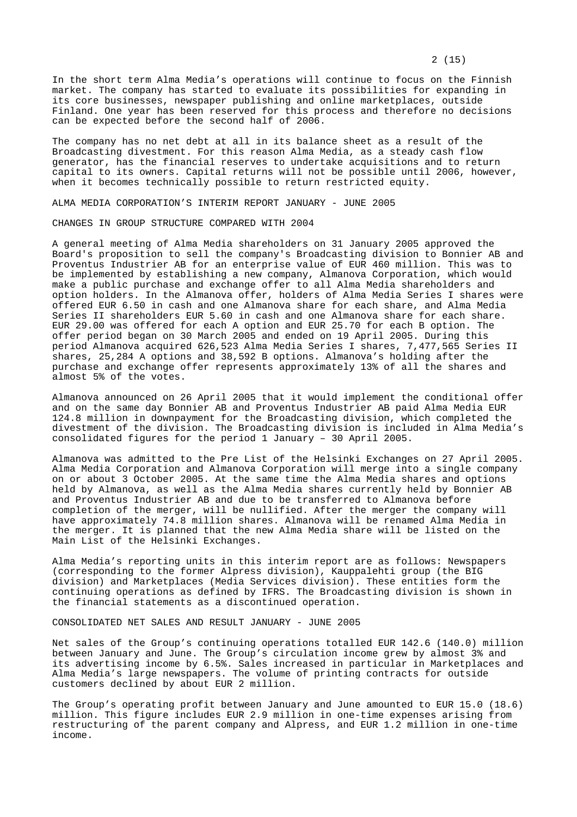In the short term Alma Media's operations will continue to focus on the Finnish market. The company has started to evaluate its possibilities for expanding in its core businesses, newspaper publishing and online marketplaces, outside Finland. One year has been reserved for this process and therefore no decisions can be expected before the second half of 2006.

The company has no net debt at all in its balance sheet as a result of the Broadcasting divestment. For this reason Alma Media, as a steady cash flow generator, has the financial reserves to undertake acquisitions and to return capital to its owners. Capital returns will not be possible until 2006, however, when it becomes technically possible to return restricted equity.

ALMA MEDIA CORPORATION'S INTERIM REPORT JANUARY - JUNE 2005

CHANGES IN GROUP STRUCTURE COMPARED WITH 2004

A general meeting of Alma Media shareholders on 31 January 2005 approved the Board's proposition to sell the company's Broadcasting division to Bonnier AB and Proventus Industrier AB for an enterprise value of EUR 460 million. This was to be implemented by establishing a new company, Almanova Corporation, which would make a public purchase and exchange offer to all Alma Media shareholders and option holders. In the Almanova offer, holders of Alma Media Series I shares were offered EUR 6.50 in cash and one Almanova share for each share, and Alma Media Series II shareholders EUR 5.60 in cash and one Almanova share for each share. EUR 29.00 was offered for each A option and EUR 25.70 for each B option. The offer period began on 30 March 2005 and ended on 19 April 2005. During this period Almanova acquired 626,523 Alma Media Series I shares, 7,477,565 Series II shares, 25,284 A options and 38,592 B options. Almanova's holding after the purchase and exchange offer represents approximately 13% of all the shares and almost 5% of the votes.

Almanova announced on 26 April 2005 that it would implement the conditional offer and on the same day Bonnier AB and Proventus Industrier AB paid Alma Media EUR 124.8 million in downpayment for the Broadcasting division, which completed the divestment of the division. The Broadcasting division is included in Alma Media's consolidated figures for the period 1 January – 30 April 2005.

Almanova was admitted to the Pre List of the Helsinki Exchanges on 27 April 2005. Alma Media Corporation and Almanova Corporation will merge into a single company on or about 3 October 2005. At the same time the Alma Media shares and options held by Almanova, as well as the Alma Media shares currently held by Bonnier AB and Proventus Industrier AB and due to be transferred to Almanova before completion of the merger, will be nullified. After the merger the company will have approximately 74.8 million shares. Almanova will be renamed Alma Media in the merger. It is planned that the new Alma Media share will be listed on the Main List of the Helsinki Exchanges.

Alma Media's reporting units in this interim report are as follows: Newspapers (corresponding to the former Alpress division), Kauppalehti group (the BIG division) and Marketplaces (Media Services division). These entities form the continuing operations as defined by IFRS. The Broadcasting division is shown in the financial statements as a discontinued operation.

CONSOLIDATED NET SALES AND RESULT JANUARY - JUNE 2005

Net sales of the Group's continuing operations totalled EUR 142.6 (140.0) million between January and June. The Group's circulation income grew by almost 3% and its advertising income by 6.5%. Sales increased in particular in Marketplaces and Alma Media's large newspapers. The volume of printing contracts for outside customers declined by about EUR 2 million.

The Group's operating profit between January and June amounted to EUR 15.0 (18.6) million. This figure includes EUR 2.9 million in one-time expenses arising from restructuring of the parent company and Alpress, and EUR 1.2 million in one-time income.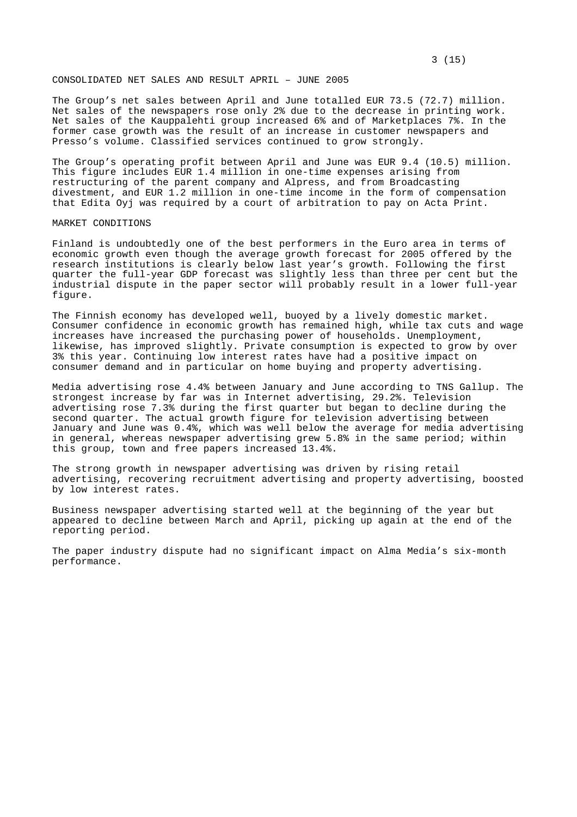# CONSOLIDATED NET SALES AND RESULT APRIL – JUNE 2005

The Group's net sales between April and June totalled EUR 73.5 (72.7) million. Net sales of the newspapers rose only 2% due to the decrease in printing work. Net sales of the Kauppalehti group increased 6% and of Marketplaces 7%. In the former case growth was the result of an increase in customer newspapers and Presso's volume. Classified services continued to grow strongly.

The Group's operating profit between April and June was EUR 9.4 (10.5) million. This figure includes EUR 1.4 million in one-time expenses arising from restructuring of the parent company and Alpress, and from Broadcasting divestment, and EUR 1.2 million in one-time income in the form of compensation that Edita Oyj was required by a court of arbitration to pay on Acta Print.

#### MARKET CONDITIONS

Finland is undoubtedly one of the best performers in the Euro area in terms of economic growth even though the average growth forecast for 2005 offered by the research institutions is clearly below last year's growth. Following the first quarter the full-year GDP forecast was slightly less than three per cent but the industrial dispute in the paper sector will probably result in a lower full-year figure.

The Finnish economy has developed well, buoyed by a lively domestic market. Consumer confidence in economic growth has remained high, while tax cuts and wage increases have increased the purchasing power of households. Unemployment, likewise, has improved slightly. Private consumption is expected to grow by over 3% this year. Continuing low interest rates have had a positive impact on consumer demand and in particular on home buying and property advertising.

Media advertising rose 4.4% between January and June according to TNS Gallup. The strongest increase by far was in Internet advertising, 29.2%. Television advertising rose 7.3% during the first quarter but began to decline during the second quarter. The actual growth figure for television advertising between January and June was 0.4%, which was well below the average for media advertising in general, whereas newspaper advertising grew 5.8% in the same period; within this group, town and free papers increased 13.4%.

The strong growth in newspaper advertising was driven by rising retail advertising, recovering recruitment advertising and property advertising, boosted by low interest rates.

Business newspaper advertising started well at the beginning of the year but appeared to decline between March and April, picking up again at the end of the reporting period.

The paper industry dispute had no significant impact on Alma Media's six-month performance.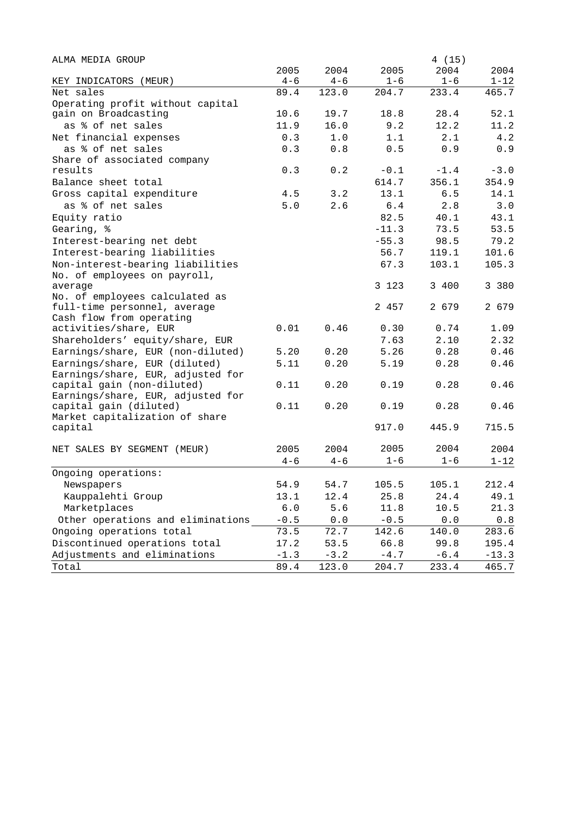| ALMA MEDIA GROUP                  |               |         |                                  | 4 (15)                                                |          |
|-----------------------------------|---------------|---------|----------------------------------|-------------------------------------------------------|----------|
|                                   | 2005          | 2004    | 2005                             | 2004                                                  | 2004     |
| KEY INDICATORS (MEUR)             | $4 - 6$       | $4 - 6$ | $1 - 6$                          | $1 - 6$                                               | $1 - 12$ |
| Net sales                         | 89.4          | 123.0   | 204.7                            | 233.4                                                 | 465.7    |
| Operating profit without capital  |               |         |                                  |                                                       |          |
| gain on Broadcasting              | 10.6          | 19.7    | 18.8                             | 28.4                                                  | 52.1     |
| as % of net sales                 | 11.9          | 16.0    | 9.2                              | 12.2                                                  | 11.2     |
| Net financial expenses            | 0.3           | 1.0     | 1.1                              | 2.1                                                   | 4.2      |
| as % of net sales                 | 0.3           | 0.8     | 0.5                              | 0.9                                                   | 0.9      |
| Share of associated company       |               |         |                                  |                                                       |          |
| results                           | 0.3           | 0.2     | $-0.1$                           | $-1.4$                                                | $-3.0$   |
| Balance sheet total               |               |         | 614.7                            | 356.1                                                 | 354.9    |
| Gross capital expenditure         | 4.5           | 3.2     | 13.1                             | 6.5                                                   | 14.1     |
| as % of net sales                 | 5.0           | 2.6     | 6.4                              | 2.8                                                   | 3.0      |
| Equity ratio                      |               |         | 82.5                             | 40.1                                                  | 43.1     |
| Gearing, %                        |               |         | $-11.3$                          | 73.5                                                  | 53.5     |
| Interest-bearing net debt         |               |         | $-55.3$                          | 98.5                                                  | 79.2     |
| Interest-bearing liabilities      |               |         | 56.7                             | 119.1                                                 | 101.6    |
| Non-interest-bearing liabilities  |               |         | 67.3                             | 103.1                                                 | 105.3    |
| No. of employees on payroll,      |               |         |                                  |                                                       |          |
| average                           |               |         | 3 1 2 3                          | 3 400                                                 | 3 380    |
| No. of employees calculated as    |               |         |                                  |                                                       |          |
| full-time personnel, average      |               |         | 2 457                            | 2 679                                                 | 2 679    |
| Cash flow from operating          |               |         |                                  |                                                       |          |
| activities/share, EUR             | 0.01          | 0.46    | 0.30                             | 0.74                                                  | 1.09     |
| Shareholders' equity/share, EUR   |               |         | 7.63                             | 2.10                                                  | 2.32     |
| Earnings/share, EUR (non-diluted) | 5.20          | 0.20    | 5.26                             | 0.28                                                  | 0.46     |
| Earnings/share, EUR (diluted)     | 5.11          | 0.20    | 5.19                             | 0.28                                                  | 0.46     |
| Earnings/share, EUR, adjusted for |               |         |                                  |                                                       |          |
| capital gain (non-diluted)        | 0.11          | 0.20    | 0.19                             | 0.28                                                  | 0.46     |
| Earnings/share, EUR, adjusted for |               |         |                                  |                                                       |          |
| capital gain (diluted)            | 0.11          | 0.20    | 0.19                             | 0.28                                                  | 0.46     |
| Market capitalization of share    |               |         |                                  |                                                       |          |
| capital                           |               |         | 917.0                            | 445.9                                                 | 715.5    |
|                                   |               |         |                                  |                                                       |          |
| NET SALES BY SEGMENT (MEUR)       | 2005          | 2004    | 2005                             | 2004                                                  | 2004     |
|                                   | $4 - 6$       | $4 - 6$ | $1 - 6$                          | $1 - 6$                                               | $1 - 12$ |
| Ongoing operations:               |               |         |                                  |                                                       |          |
| Newspapers                        | 54.9          | 54.7    | 105.5                            | 105.1                                                 | 212.4    |
| Kauppalehti Group                 | 13.1          | 12.4    | 25.8                             | 24.4                                                  | 49.1     |
| Marketplaces                      | $6 \, . \, 0$ | 5.6     | 11.8                             | 10.5                                                  | 21.3     |
| Other operations and eliminations | $-0.5$        | $0.0$   | $\textcolor{red}{\mathbf{-0.5}}$ | ${\bf 0}$ . ${\bf 0}$                                 | $0.8$    |
| Ongoing operations total          | 73.5          | 72.7    | 142.6                            | 140.0                                                 | 283.6    |
| Discontinued operations total     | 17.2          | 53.5    | 66.8                             | 99.8                                                  | 195.4    |
| Adjustments and eliminations      | $-1.3$        | $-3.2$  | $-4.7\,$                         | $\mathord{\hspace{1pt}\text{--}\hspace{1pt}} 6$ . $4$ | $-13.3$  |
| Total                             | 89.4          | 123.0   | 204.7                            | 233.4                                                 | 465.7    |
|                                   |               |         |                                  |                                                       |          |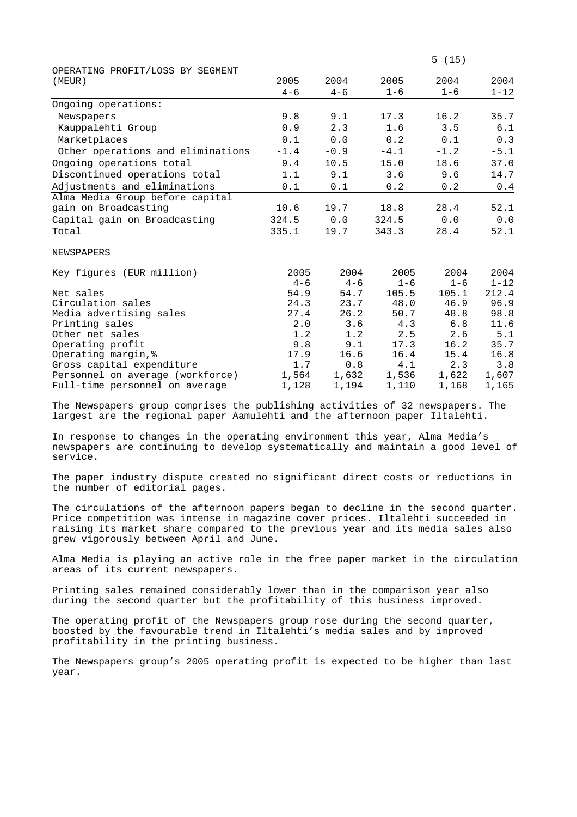| (MEUR)                                                                                                                                                                                                                                                                                                                             | 2005                 | 2004                        | 2005                 | 2004                        | 2004     |
|------------------------------------------------------------------------------------------------------------------------------------------------------------------------------------------------------------------------------------------------------------------------------------------------------------------------------------|----------------------|-----------------------------|----------------------|-----------------------------|----------|
|                                                                                                                                                                                                                                                                                                                                    |                      |                             |                      |                             |          |
|                                                                                                                                                                                                                                                                                                                                    | $4 - 6$              | $4 - 6$                     | $1 - 6$              | $1 - 6$                     | $1 - 12$ |
| Ongoing operations:                                                                                                                                                                                                                                                                                                                |                      |                             |                      |                             |          |
| Newspapers                                                                                                                                                                                                                                                                                                                         | 9.8                  | 9.1                         | 17.3                 | 16.2                        | 35.7     |
| Kauppalehti Group                                                                                                                                                                                                                                                                                                                  | 0.9                  | 2.3                         | 1.6                  | 3.5                         | 6.1      |
| Marketplaces                                                                                                                                                                                                                                                                                                                       | 0.1                  | 0.0                         | 0.2                  | 0.1                         | 0.3      |
| Other operations and eliminations                                                                                                                                                                                                                                                                                                  | $-1.4$               | $-0.9$                      | $-4.1$               | $-1.2$                      | $-5.1$   |
| Ongoing operations total                                                                                                                                                                                                                                                                                                           | 9.4                  | 10.5                        | 15.0                 | 18.6                        | 37.0     |
| Discontinued operations total                                                                                                                                                                                                                                                                                                      | 1.1                  | 9.1                         | 3.6                  | 9.6                         | 14.7     |
| Adjustments and eliminations                                                                                                                                                                                                                                                                                                       | 0.1                  | 0.1                         | 0.2                  | 0.2                         | 0.4      |
| Alma Media Group before capital                                                                                                                                                                                                                                                                                                    |                      |                             |                      |                             |          |
| gain on Broadcasting                                                                                                                                                                                                                                                                                                               | 10.6                 | 19.7                        | 18.8                 | 28.4                        | 52.1     |
| Capital gain on Broadcasting                                                                                                                                                                                                                                                                                                       | 324.5                | 0.0                         | 324.5                | 0.0                         | 0.0      |
| Total                                                                                                                                                                                                                                                                                                                              | 335.1                | 19.7                        | 343.3                | 28.4                        | 52.1     |
|                                                                                                                                                                                                                                                                                                                                    |                      |                             |                      |                             |          |
| NEWSPAPERS                                                                                                                                                                                                                                                                                                                         |                      |                             |                      |                             |          |
| $\mathbf{r}$ $\mathbf{r}$ $\mathbf{r}$ $\mathbf{r}$ $\mathbf{r}$ $\mathbf{r}$ $\mathbf{r}$ $\mathbf{r}$ $\mathbf{r}$ $\mathbf{r}$ $\mathbf{r}$ $\mathbf{r}$ $\mathbf{r}$ $\mathbf{r}$ $\mathbf{r}$ $\mathbf{r}$ $\mathbf{r}$ $\mathbf{r}$ $\mathbf{r}$ $\mathbf{r}$ $\mathbf{r}$ $\mathbf{r}$ $\mathbf{r}$ $\mathbf{r}$ $\mathbf{$ | $\cap$ $\cap$ $\cap$ | $\cap$ $\cap$ $\cap$ $\cap$ | $\cap$ $\cap$ $\cap$ | $\cap$ $\cap$ $\cap$ $\cap$ | 0.001    |

| 2005    | 2004    | 2005    | 2004    | 2004     |
|---------|---------|---------|---------|----------|
| $4 - 6$ | $4 - 6$ | $1 - 6$ | $1 - 6$ | $1 - 12$ |
| 54.9    | 54.7    | 105.5   | 105.1   | 212.4    |
| 24.3    | 23.7    | 48.0    | 46.9    | 96.9     |
| 27.4    | 26.2    | 50.7    | 48.8    | 98.8     |
| 2.0     | 3.6     | 4.3     | 6.8     | 11.6     |
| 1.2     | 1.2     | 2.5     | 2.6     | 5.1      |
| 9.8     | 9.1     | 17.3    | 16.2    | 35.7     |
| 17.9    | 16.6    | 16.4    | 15.4    | 16.8     |
| 1.7     | 0.8     | 4.1     | 2.3     | 3.8      |
| 1,564   | 1,632   | 1,536   | 1,622   | 1,607    |
| 1,128   | 1,194   | 1,110   | 1,168   | 1,165    |
|         |         |         |         |          |

The Newspapers group comprises the publishing activities of 32 newspapers. The largest are the regional paper Aamulehti and the afternoon paper Iltalehti.

In response to changes in the operating environment this year, Alma Media's newspapers are continuing to develop systematically and maintain a good level of service.

The paper industry dispute created no significant direct costs or reductions in the number of editorial pages.

The circulations of the afternoon papers began to decline in the second quarter. Price competition was intense in magazine cover prices. Iltalehti succeeded in raising its market share compared to the previous year and its media sales also grew vigorously between April and June.

Alma Media is playing an active role in the free paper market in the circulation areas of its current newspapers.

Printing sales remained considerably lower than in the comparison year also during the second quarter but the profitability of this business improved.

The operating profit of the Newspapers group rose during the second quarter, boosted by the favourable trend in Iltalehti's media sales and by improved profitability in the printing business.

The Newspapers group's 2005 operating profit is expected to be higher than last year.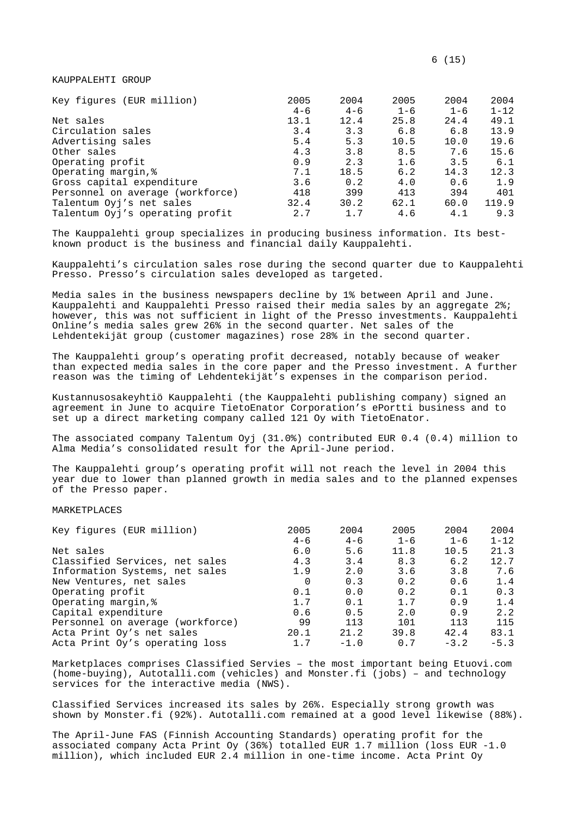KAUPPALEHTI GROUP

| Key figures (EUR million)        | 2005    | 2004    | 2005    | 2004    | 2004     |
|----------------------------------|---------|---------|---------|---------|----------|
|                                  | $4 - 6$ | $4 - 6$ | $1 - 6$ | $1 - 6$ | $1 - 12$ |
| Net sales                        | 13.1    | 12.4    | 25.8    | 24.4    | 49.1     |
| Circulation sales                | 3.4     | 3.3     | 6.8     | 6.8     | 13.9     |
| Advertising sales                | 5.4     | 5.3     | 10.5    | 10.0    | 19.6     |
| Other sales                      | 4.3     | 3.8     | 8.5     | 7.6     | 15.6     |
| Operating profit                 | 0.9     | 2.3     | 1.6     | 3.5     | 6.1      |
| Operating margin, %              | 7.1     | 18.5    | 6.2     | 14.3    | 12.3     |
| Gross capital expenditure        | 3.6     | 0.2     | 4.0     | 0.6     | 1.9      |
| Personnel on average (workforce) | 418     | 399     | 413     | 394     | 401      |
| Talentum Oyj's net sales         | 32.4    | 30.2    | 62.1    | 60.0    | 119.9    |
| Talentum Oyj's operating profit  | 2.7     | 1.7     | 4.6     | 4.1     | 9.3      |

The Kauppalehti group specializes in producing business information. Its bestknown product is the business and financial daily Kauppalehti.

Kauppalehti's circulation sales rose during the second quarter due to Kauppalehti Presso. Presso's circulation sales developed as targeted.

Media sales in the business newspapers decline by 1% between April and June. Kauppalehti and Kauppalehti Presso raised their media sales by an aggregate 2%; however, this was not sufficient in light of the Presso investments. Kauppalehti Online's media sales grew 26% in the second quarter. Net sales of the Lehdentekijät group (customer magazines) rose 28% in the second quarter.

The Kauppalehti group's operating profit decreased, notably because of weaker than expected media sales in the core paper and the Presso investment. A further reason was the timing of Lehdentekijät's expenses in the comparison period.

Kustannusosakeyhtiö Kauppalehti (the Kauppalehti publishing company) signed an agreement in June to acquire TietoEnator Corporation's ePortti business and to set up a direct marketing company called 121 Oy with TietoEnator.

The associated company Talentum Oyj (31.0%) contributed EUR 0.4 (0.4) million to Alma Media's consolidated result for the April-June period.

The Kauppalehti group's operating profit will not reach the level in 2004 this year due to lower than planned growth in media sales and to the planned expenses of the Presso paper.

MARKETPLACES

| Key figures (EUR million)        | 2005     | 2004    | 2005    | 2004    | 2004     |
|----------------------------------|----------|---------|---------|---------|----------|
|                                  | $4 - 6$  | $4 - 6$ | $1 - 6$ | $1 - 6$ | $1 - 12$ |
| Net sales                        | 6.0      | 5.6     | 11.8    | 10.5    | 21.3     |
| Classified Services, net sales   | 4.3      | 3.4     | 8.3     | 6.2     | 12.7     |
| Information Systems, net sales   | 1.9      | 2.0     | 3.6     | 3.8     | 7.6      |
| New Ventures, net sales          | $\Omega$ | 0.3     | 0.2     | 0.6     | 1.4      |
| Operating profit                 | 0.1      | 0.0     | 0.2     | 0.1     | 0.3      |
| Operating margin, &              | 1.7      | 0.1     | 1.7     | 0.9     | 1.4      |
| Capital expenditure              | 0.6      | 0.5     | 2.0     | 0.9     | 2.2      |
| Personnel on average (workforce) | 99       | 113     | 101     | 113     | 115      |
| Acta Print Oy's net sales        | 20.1     | 21.2    | 39.8    | 42.4    | 83.1     |
| Acta Print Oy's operating loss   | 1.7      | $-1.0$  | 0.7     | $-3.2$  | $-5.3$   |

Marketplaces comprises Classified Servies – the most important being Etuovi.com (home-buying), Autotalli.com (vehicles) and Monster.fi (jobs) – and technology services for the interactive media (NWS).

Classified Services increased its sales by 26%. Especially strong growth was shown by Monster.fi (92%). Autotalli.com remained at a good level likewise (88%).

The April-June FAS (Finnish Accounting Standards) operating profit for the associated company Acta Print Oy (36%) totalled EUR 1.7 million (loss EUR -1.0 million), which included EUR 2.4 million in one-time income. Acta Print Oy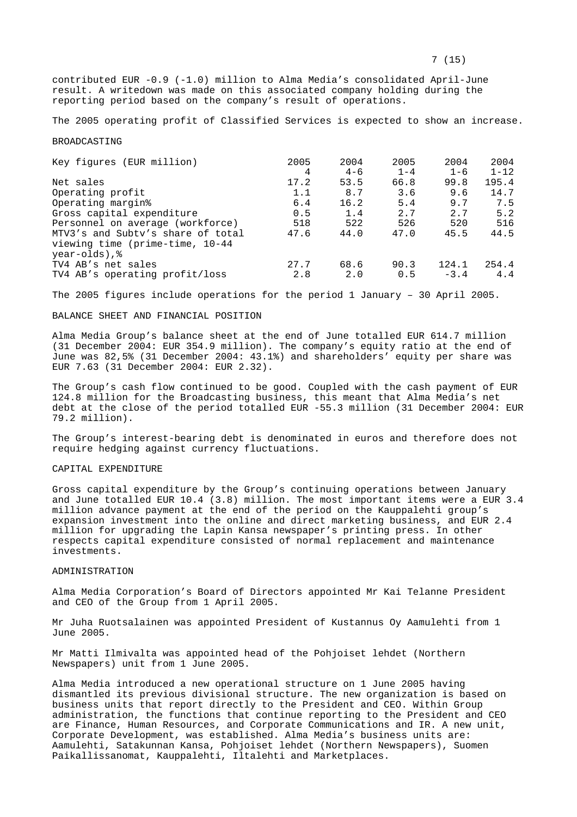The 2005 operating profit of Classified Services is expected to show an increase.

#### BROADCASTING

| Key figures (EUR million)         | 2005 | 2004    | 2005    | 2004    | 2004     |
|-----------------------------------|------|---------|---------|---------|----------|
|                                   | 4    | $4 - 6$ | $1 - 4$ | $1 - 6$ | $1 - 12$ |
| Net sales                         | 17.2 | 53.5    | 66.8    | 99.8    | 195.4    |
| Operating profit                  | 1.1  | 8.7     | 3.6     | 9.6     | 14.7     |
| Operating margin <sup>8</sup>     | 6.4  | 16.2    | 5.4     | 9.7     | 7.5      |
| Gross capital expenditure         | 0.5  | 1.4     | 2.7     | 2.7     | 5.2      |
| Personnel on average (workforce)  | 518  | 522     | 526     | 520     | 516      |
| MTV3's and Subty's share of total | 47.6 | 44.0    | 47.0    | 45.5    | 44.5     |
| viewing time (prime-time, 10-44   |      |         |         |         |          |
| year-olds), &                     |      |         |         |         |          |
| TV4 AB's net sales                | 27.7 | 68.6    | 90.3    | 124.1   | 254.4    |
| TV4 AB's operating profit/loss    | 2.8  | 2.0     | 0.5     | $-3.4$  | 4.4      |

The 2005 figures include operations for the period 1 January – 30 April 2005.

## BALANCE SHEET AND FINANCIAL POSITION

Alma Media Group's balance sheet at the end of June totalled EUR 614.7 million (31 December 2004: EUR 354.9 million). The company's equity ratio at the end of June was 82,5% (31 December 2004: 43.1%) and shareholders' equity per share was EUR 7.63 (31 December 2004: EUR 2.32).

The Group's cash flow continued to be good. Coupled with the cash payment of EUR 124.8 million for the Broadcasting business, this meant that Alma Media's net debt at the close of the period totalled EUR -55.3 million (31 December 2004: EUR 79.2 million).

The Group's interest-bearing debt is denominated in euros and therefore does not require hedging against currency fluctuations.

## CAPITAL EXPENDITURE

Gross capital expenditure by the Group's continuing operations between January and June totalled EUR 10.4 (3.8) million. The most important items were a EUR 3.4 million advance payment at the end of the period on the Kauppalehti group's expansion investment into the online and direct marketing business, and EUR 2.4 million for upgrading the Lapin Kansa newspaper's printing press. In other respects capital expenditure consisted of normal replacement and maintenance investments.

## ADMINISTRATION

Alma Media Corporation's Board of Directors appointed Mr Kai Telanne President and CEO of the Group from 1 April 2005.

Mr Juha Ruotsalainen was appointed President of Kustannus Oy Aamulehti from 1 June 2005.

Mr Matti Ilmivalta was appointed head of the Pohjoiset lehdet (Northern Newspapers) unit from 1 June 2005.

Alma Media introduced a new operational structure on 1 June 2005 having dismantled its previous divisional structure. The new organization is based on business units that report directly to the President and CEO. Within Group administration, the functions that continue reporting to the President and CEO are Finance, Human Resources, and Corporate Communications and IR. A new unit, Corporate Development, was established. Alma Media's business units are: Aamulehti, Satakunnan Kansa, Pohjoiset lehdet (Northern Newspapers), Suomen Paikallissanomat, Kauppalehti, Iltalehti and Marketplaces.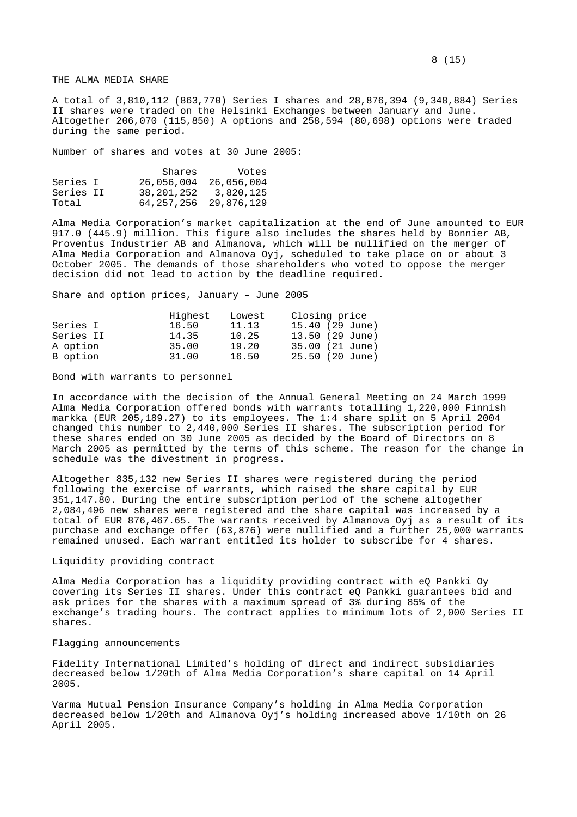# THE ALMA MEDIA SHARE

A total of 3,810,112 (863,770) Series I shares and 28,876,394 (9,348,884) Series II shares were traded on the Helsinki Exchanges between January and June. Altogether 206,070 (115,850) A options and 258,594 (80,698) options were traded during the same period.

Number of shares and votes at 30 June 2005:

|           | Shares                    | Votes      |
|-----------|---------------------------|------------|
| Series I  | 26,056,004                | 26,056,004 |
| Series II | 38,201,252                | 3,820,125  |
| Total     | 64, 257, 256 29, 876, 129 |            |

Alma Media Corporation's market capitalization at the end of June amounted to EUR 917.0 (445.9) million. This figure also includes the shares held by Bonnier AB, Proventus Industrier AB and Almanova, which will be nullified on the merger of Alma Media Corporation and Almanova Oyj, scheduled to take place on or about 3 October 2005. The demands of those shareholders who voted to oppose the merger decision did not lead to action by the deadline required.

Share and option prices, January – June 2005

|           | Highest | Lowest | Closing price   |
|-----------|---------|--------|-----------------|
| Series I  | 16.50   | 11.13  | 15.40 (29 June) |
| Series II | 14.35   | 10.25  | 13.50 (29 June) |
| A option  | 35.00   | 19.20  | 35.00 (21 June) |
| B option  | 31.00   | 16.50  | 25.50 (20 June) |

Bond with warrants to personnel

In accordance with the decision of the Annual General Meeting on 24 March 1999 Alma Media Corporation offered bonds with warrants totalling 1,220,000 Finnish markka (EUR 205,189.27) to its employees. The 1:4 share split on 5 April 2004 changed this number to 2,440,000 Series II shares. The subscription period for these shares ended on 30 June 2005 as decided by the Board of Directors on 8 March 2005 as permitted by the terms of this scheme. The reason for the change in schedule was the divestment in progress.

Altogether 835,132 new Series II shares were registered during the period following the exercise of warrants, which raised the share capital by EUR 351,147.80. During the entire subscription period of the scheme altogether 2,084,496 new shares were registered and the share capital was increased by a total of EUR 876,467.65. The warrants received by Almanova Oyj as a result of its purchase and exchange offer (63,876) were nullified and a further 25,000 warrants remained unused. Each warrant entitled its holder to subscribe for 4 shares.

# Liquidity providing contract

Alma Media Corporation has a liquidity providing contract with eQ Pankki Oy covering its Series II shares. Under this contract eQ Pankki guarantees bid and ask prices for the shares with a maximum spread of 3% during 85% of the exchange's trading hours. The contract applies to minimum lots of 2,000 Series II shares.

## Flagging announcements

Fidelity International Limited's holding of direct and indirect subsidiaries decreased below 1/20th of Alma Media Corporation's share capital on 14 April 2005.

Varma Mutual Pension Insurance Company's holding in Alma Media Corporation decreased below 1/20th and Almanova Oyj's holding increased above 1/10th on 26 April 2005.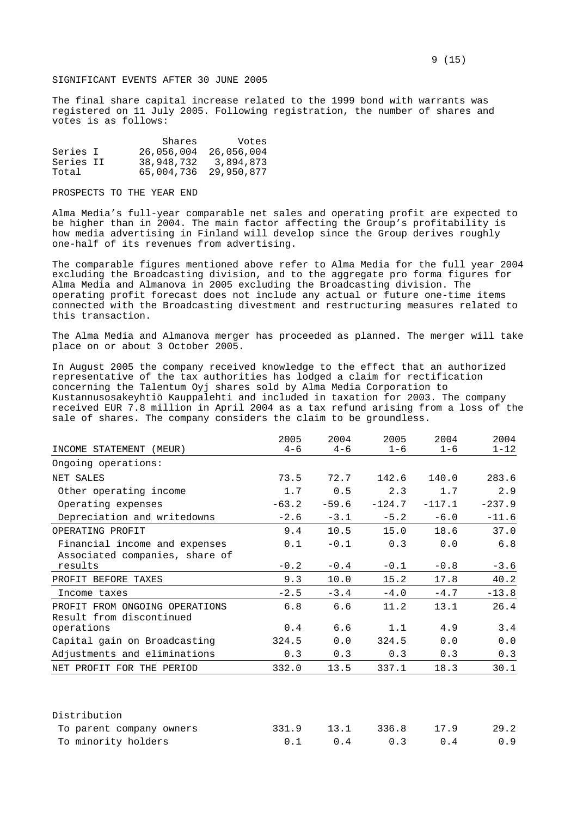# SIGNIFICANT EVENTS AFTER 30 JUNE 2005

The final share capital increase related to the 1999 bond with warrants was registered on 11 July 2005. Following registration, the number of shares and votes is as follows:

|           | Shares                | Votes      |
|-----------|-----------------------|------------|
| Series I  | 26,056,004            | 26,056,004 |
| Series II | 38,948,732            | 3,894,873  |
| Total     | 65,004,736 29,950,877 |            |

#### PROSPECTS TO THE YEAR END

Alma Media's full-year comparable net sales and operating profit are expected to be higher than in 2004. The main factor affecting the Group's profitability is how media advertising in Finland will develop since the Group derives roughly one-half of its revenues from advertising.

The comparable figures mentioned above refer to Alma Media for the full year 2004 excluding the Broadcasting division, and to the aggregate pro forma figures for Alma Media and Almanova in 2005 excluding the Broadcasting division. The operating profit forecast does not include any actual or future one-time items connected with the Broadcasting divestment and restructuring measures related to this transaction.

The Alma Media and Almanova merger has proceeded as planned. The merger will take place on or about 3 October 2005.

In August 2005 the company received knowledge to the effect that an authorized representative of the tax authorities has lodged a claim for rectification concerning the Talentum Oyj shares sold by Alma Media Corporation to Kustannusosakeyhtiö Kauppalehti and included in taxation for 2003. The company received EUR 7.8 million in April 2004 as a tax refund arising from a loss of the sale of shares. The company considers the claim to be groundless.

|                                           | 2005    | 2004    | 2005     | 2004     | 2004     |
|-------------------------------------------|---------|---------|----------|----------|----------|
| INCOME STATEMENT (MEUR)                   | $4 - 6$ | $4 - 6$ | $1 - 6$  | $1 - 6$  | $1 - 12$ |
| Ongoing operations:                       |         |         |          |          |          |
| NET SALES                                 | 73.5    | 72.7    | 142.6    | 140.0    | 283.6    |
| Other operating income                    | 1.7     | 0.5     | 2.3      | 1.7      | 2.9      |
| Operating expenses                        | $-63.2$ | $-59.6$ | $-124.7$ | $-117.1$ | $-237.9$ |
| Depreciation and writedowns               | $-2.6$  | $-3.1$  | $-5.2$   | $-6.0$   | $-11.6$  |
| OPERATING PROFIT                          | 9.4     | 10.5    | 15.0     | 18.6     | 37.0     |
| Financial income and expenses             | 0.1     | $-0.1$  | 0.3      | 0.0      | 6.8      |
| Associated companies, share of<br>results | $-0.2$  | $-0.4$  | $-0.1$   | $-0.8$   | $-3.6$   |
| PROFIT BEFORE TAXES                       | 9.3     | 10.0    | 15.2     | 17.8     | 40.2     |
| Income taxes                              | $-2.5$  | $-3.4$  | $-4.0$   | $-4.7$   | $-13.8$  |
| PROFIT FROM ONGOING OPERATIONS            | 6.8     | 6.6     | 11.2     | 13.1     | 26.4     |
| Result from discontinued<br>operations    | 0.4     | 6.6     | 1.1      | 4.9      | 3.4      |
| Capital gain on Broadcasting              | 324.5   | 0.0     | 324.5    | 0.0      | 0.0      |
| Adjustments and eliminations              | 0.3     | 0.3     | 0.3      | 0.3      | 0.3      |
| NET PROFIT FOR THE PERIOD                 | 332.0   | 13.5    | 337.1    | 18.3     | 30.1     |

| Distribution             |  |                            |      |      |
|--------------------------|--|----------------------------|------|------|
| To parent company owners |  | 331.9 13.1 336.8           | 17.9 | 29.2 |
| To minority holders      |  | $0.1 \t 0.4 \t 0.3 \t 0.4$ |      | 0.9  |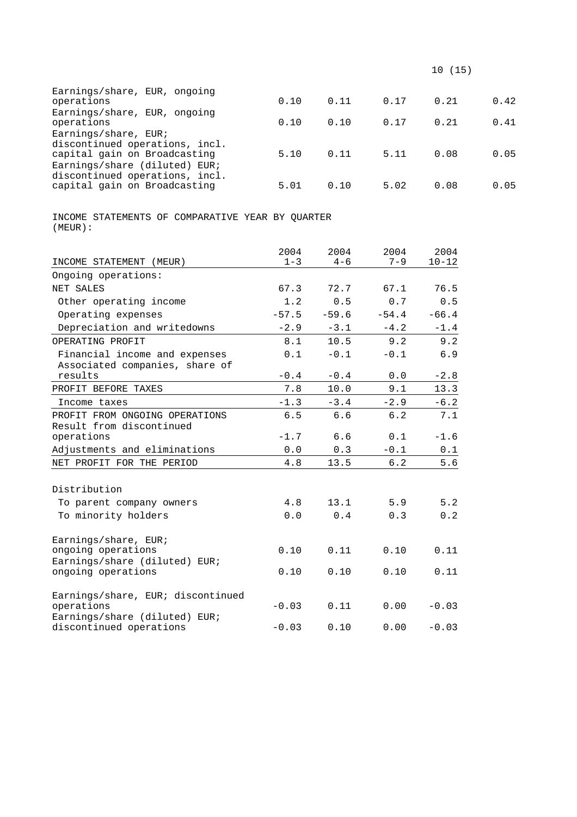| Earnings/share, EUR, ongoing<br>operations                     | 0.10 | 0.11 | 0.17 | 0.21 | 0.42 |
|----------------------------------------------------------------|------|------|------|------|------|
| Earnings/share, EUR, ongoing<br>operations                     | 0.10 | 0.10 | 0.17 | 0.21 | 0.41 |
| Earnings/share, EUR;<br>discontinued operations, incl.         |      |      |      |      |      |
| capital gain on Broadcasting<br>Earnings/share (diluted) EUR;  | 5.10 | 0.11 | 5.11 | 0.08 | 0.05 |
| discontinued operations, incl.<br>capital gain on Broadcasting | 5.01 | 0.10 | 5.02 | 0.08 | 0.05 |

INCOME STATEMENTS OF COMPARATIVE YEAR BY QUARTER (MEUR):

|                                                          | 2004    | 2004    | 2004    | 2004      |
|----------------------------------------------------------|---------|---------|---------|-----------|
| INCOME STATEMENT (MEUR)                                  | $1 - 3$ | $4 - 6$ | $7 - 9$ | $10 - 12$ |
| Ongoing operations:                                      |         |         |         |           |
| NET SALES                                                | 67.3    | 72.7    | 67.1    | 76.5      |
| Other operating income                                   | 1.2     | 0.5     | 0.7     | 0.5       |
| Operating expenses                                       | $-57.5$ | $-59.6$ | $-54.4$ | $-66.4$   |
| Depreciation and writedowns                              | $-2.9$  | $-3.1$  | $-4.2$  | $-1.4$    |
| OPERATING PROFIT                                         | 8.1     | 10.5    | 9.2     | 9.2       |
| Financial income and expenses                            | 0.1     | $-0.1$  | $-0.1$  | 6.9       |
| Associated companies, share of                           |         |         |         |           |
| results                                                  | $-0.4$  | $-0.4$  | 0.0     | $-2.8$    |
| PROFIT BEFORE TAXES                                      | 7.8     | 10.0    | 9.1     | 13.3      |
| Income taxes                                             | $-1.3$  | $-3.4$  | $-2.9$  | $-6.2$    |
| PROFIT FROM ONGOING OPERATIONS                           | 6.5     | 6.6     | $6.2$   | 7.1       |
| Result from discontinued                                 |         |         |         |           |
| operations                                               | $-1.7$  | 6.6     | 0.1     | $-1.6$    |
| Adjustments and eliminations                             | 0.0     | 0.3     | $-0.1$  | 0.1       |
| NET PROFIT FOR THE PERIOD                                | 4.8     | 13.5    | 6.2     | 5.6       |
|                                                          |         |         |         |           |
| Distribution                                             |         |         |         |           |
| To parent company owners                                 | 4.8     | 13.1    | 5.9     | 5.2       |
| To minority holders                                      | 0.0     | 0.4     | 0.3     | 0.2       |
| Earnings/share, EUR;                                     |         |         |         |           |
| ongoing operations                                       | 0.10    | 0.11    | 0.10    | 0.11      |
| Earnings/share (diluted) EUR;                            |         |         |         |           |
| ongoing operations                                       | 0.10    | 0.10    | 0.10    | 0.11      |
| Earnings/share, EUR; discontinued                        |         |         |         |           |
| operations                                               | $-0.03$ | 0.11    | 0.00    | $-0.03$   |
| Earnings/share (diluted) EUR;<br>discontinued operations | $-0.03$ | 0.10    | 0.00    | $-0.03$   |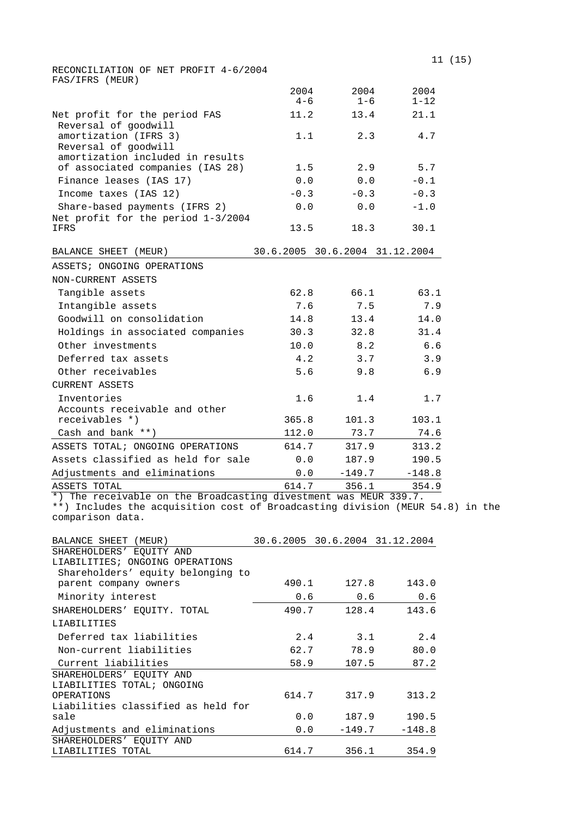|                                       | 11 (15) |
|---------------------------------------|---------|
| RECONCILIATION OF NET PROFIT 4-6/2004 |         |
| FAS/IFRS (MEUR)                       |         |

|                                                                       | 2004<br>$4 - 6$ | 2004<br>$1 - 6$ | 2004<br>$1 - 12$               |
|-----------------------------------------------------------------------|-----------------|-----------------|--------------------------------|
| Net profit for the period FAS                                         | 11.2            | 13.4            | 21.1                           |
| Reversal of goodwill<br>amortization (IFRS 3)<br>Reversal of goodwill | 1.1             | 2.3             | 4.7                            |
| amortization included in results<br>of associated companies (IAS 28)  | 1.5             | 2.9             | 5.7                            |
| Finance leases (IAS 17)                                               | 0.0             | 0.0             | $-0.1$                         |
| Income taxes (IAS 12)                                                 | $-0.3$          | $-0.3$          | $-0.3$                         |
| Share-based payments (IFRS 2)<br>Net profit for the period 1-3/2004   | 0.0             | 0.0             | $-1.0$                         |
| <b>IFRS</b>                                                           | 13.5            | 18.3            | 30.1                           |
| BALANCE SHEET (MEUR)                                                  |                 |                 | 30.6.2005 30.6.2004 31.12.2004 |
| ASSETS; ONGOING OPERATIONS                                            |                 |                 |                                |
| NON-CURRENT ASSETS                                                    |                 |                 |                                |
| Tangible assets                                                       | 62.8            | 66.1            | 63.1                           |
| Intangible assets                                                     | 7.6             | 7.5             | 7.9                            |
| Goodwill on consolidation                                             | 14.8            | 13.4            | 14.0                           |
| Holdings in associated companies                                      | 30.3            | 32.8            | 31.4                           |
| Other investments                                                     | 10.0            | 8.2             | 6.6                            |
| Deferred tax assets                                                   | 4.2             | 3.7             | 3.9                            |
| Other receivables                                                     | 5.6             | 9.8             | 6.9                            |
| CURRENT ASSETS                                                        |                 |                 |                                |
| Inventories<br>Accounts receivable and other                          | 1.6             | 1.4             | 1.7                            |
| receivables *)                                                        | 365.8           | 101.3           | 103.1                          |
| Cash and bank **)                                                     | 112.0           | 73.7            | 74.6                           |
| ASSETS TOTAL; ONGOING OPERATIONS                                      | 614.7           | 317.9           | 313.2                          |
| Assets classified as held for sale                                    | 0.0             | 187.9           | 190.5                          |
| Adjustments and eliminations                                          | 0.0             | $-149.7$        | $-148.8$                       |
| ASSETS TOTAL                                                          | 614.7           | 356.1           | 354.9                          |

\*) The receivable on the Broadcasting divestment was MEUR 339.7.

\*\*) Includes the acquisition cost of Broadcasting division (MEUR 54.8) in the comparison data.

| BALANCE SHEET (MEUR)               |       |          | 30.6.2005 30.6.2004 31.12.2004 |
|------------------------------------|-------|----------|--------------------------------|
| SHAREHOLDERS' EOUITY AND           |       |          |                                |
| LIABILITIES; ONGOING OPERATIONS    |       |          |                                |
| Shareholders' equity belonging to  |       |          |                                |
| parent company owners              | 490.1 | 127.8    | 143.0                          |
| Minority interest                  | 0.6   | 0.6      | 0.6                            |
| SHAREHOLDERS' EQUITY. TOTAL        | 490.7 | 128.4    | 143.6                          |
| LIABILITIES                        |       |          |                                |
| Deferred tax liabilities           | 2.4   | 3.1      | 2.4                            |
| Non-current liabilities            | 62.7  | 78.9     | 80.0                           |
| Current liabilities                | 58.9  | 107.5    | 87.2                           |
| SHAREHOLDERS' EOUITY AND           |       |          |                                |
| LIABILITIES TOTAL; ONGOING         |       |          |                                |
| OPERATIONS                         | 614.7 | 317.9    | 313.2                          |
| Liabilities classified as held for |       |          |                                |
| sale                               | 0.0   | 187.9    | 190.5                          |
| Adjustments and eliminations       | 0.0   | $-149.7$ | $-148.8$                       |
| SHAREHOLDERS' EOUITY AND           |       |          |                                |
| LIABILITIES TOTAL                  | 614.7 |          | 356.1 354.9                    |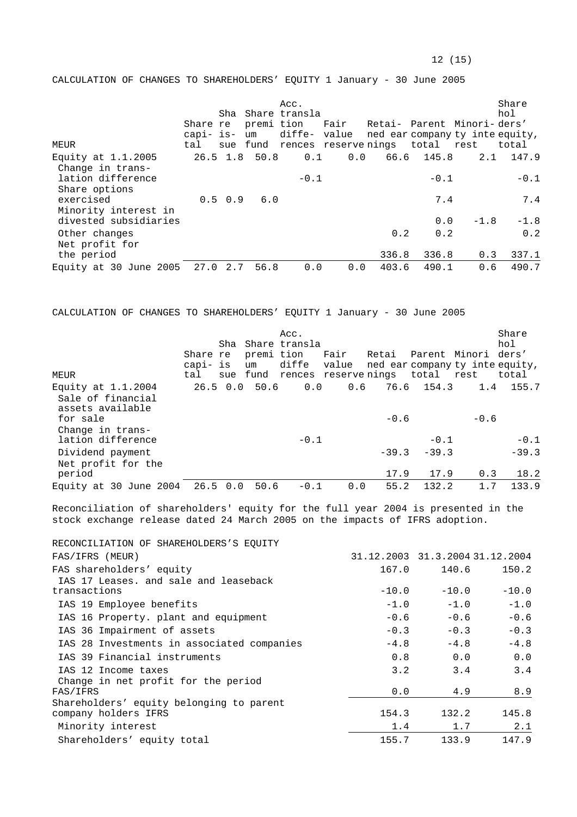CALCULATION OF CHANGES TO SHAREHOLDERS' EQUITY 1 January - 30 June 2005

| MEUR                                          | Share re<br>capi- is-<br>tal |             | um              | Acc.<br>Sha Share transla<br>premi tion<br>diffe- value |            | Fair Retai- Parent Minori-ders'<br>sue fund rences reservenings total rest |            | ned ear company ty inte equity, | Share<br>hol<br>total |
|-----------------------------------------------|------------------------------|-------------|-----------------|---------------------------------------------------------|------------|----------------------------------------------------------------------------|------------|---------------------------------|-----------------------|
| Equity at $1.1.2005$                          |                              |             | $26.5$ 1.8 50.8 |                                                         | 0.0<br>0.1 |                                                                            | 66.6 145.8 | 2.1                             | 147.9                 |
| Change in trans-<br>lation difference         |                              |             |                 | $-0.1$                                                  |            |                                                                            | $-0.1$     |                                 | $-0.1$                |
| Share options<br>exercised                    |                              | $0.5 \t0.9$ | 6.0             |                                                         |            |                                                                            | 7.4        |                                 | 7.4                   |
| Minority interest in<br>divested subsidiaries |                              |             |                 |                                                         |            |                                                                            | 0.0        | $-1.8$                          | $-1.8$                |
| Other changes                                 |                              |             |                 |                                                         |            | 0.2                                                                        | 0.2        |                                 | 0.2                   |
| Net profit for<br>the period                  |                              |             |                 |                                                         |            | 336.8                                                                      | 336.8      | 0.3                             | 337.1                 |
| Equity at 30 June 2005                        | 27.0                         | 2.7         | 56.8            | 0.0                                                     | 0.0        | 403.6                                                                      | 490.1      | 0.6                             | 490.7                 |

CALCULATION OF CHANGES TO SHAREHOLDERS' EQUITY 1 January - 30 June 2005

| MEUR                                                          | Share re<br>capi- is<br>tal | premi tion<br>um | Acc.<br>Sha Share transla | Fair<br>diffe value | Retai<br>ned ear company ty inte equity,<br>sue fund rences reservenings total rest | Parent Minori ders' |        | Share<br>hol<br>total |
|---------------------------------------------------------------|-----------------------------|------------------|---------------------------|---------------------|-------------------------------------------------------------------------------------|---------------------|--------|-----------------------|
| Equity at $1.1.2004$<br>Sale of financial<br>assets available |                             | $26.5$ 0.0 50.6  | 0.0                       |                     | $0.6$ 76.6 154.3                                                                    |                     |        | $1.4$ 155.7           |
| for sale<br>Change in trans-                                  |                             |                  |                           |                     | $-0.6$                                                                              |                     | $-0.6$ |                       |
| lation difference                                             |                             |                  | $-0.1$                    |                     |                                                                                     | $-0.1$              |        | $-0.1$                |
| Dividend payment<br>Net profit for the                        |                             |                  |                           |                     | $-39.3$                                                                             | $-39.3$             |        | $-39.3$               |
| period                                                        |                             |                  |                           |                     | 17.9                                                                                | 17.9                | 0.3    | 18.2                  |
| Equity at 30 June 2004                                        | 26.5 0.0                    | 50.6             | $-0.1$                    | 0.0                 | 55.2                                                                                | 132.2               | 1.7    | 133.9                 |

Reconciliation of shareholders' equity for the full year 2004 is presented in the stock exchange release dated 24 March 2005 on the impacts of IFRS adoption.

| RECONCILIATION OF SHAREHOLDERS'S EOUITY    |                                 |         |         |
|--------------------------------------------|---------------------------------|---------|---------|
| FAS/IFRS (MEUR)                            | 31.12.2003 31.3.2004 31.12.2004 |         |         |
| FAS shareholders' equity                   | 167.0                           | 140.6   | 150.2   |
| IAS 17 Leases, and sale and leaseback      |                                 |         |         |
| transactions                               | $-10.0$                         | $-10.0$ | $-10.0$ |
| IAS 19 Employee benefits                   | $-1.0$                          | $-1.0$  | $-1.0$  |
| IAS 16 Property. plant and equipment       | $-0.6$                          | $-0.6$  | $-0.6$  |
| IAS 36 Impairment of assets                | $-0.3$                          | $-0.3$  | $-0.3$  |
| IAS 28 Investments in associated companies | $-4.8$                          | $-4.8$  | $-4.8$  |
| IAS 39 Financial instruments               | 0.8                             | 0.0     | 0.0     |
| IAS 12 Income taxes                        | 3.2                             | 3.4     | 3.4     |
| Change in net profit for the period        |                                 |         |         |
| FAS/IFRS                                   | 0.0                             | 4.9     | 8.9     |
| Shareholders' equity belonging to parent   |                                 |         |         |
| company holders IFRS                       | 154.3                           | 132.2   | 145.8   |
| Minority interest                          | 1.4                             | 1.7     | 2.1     |
| Shareholders' equity total                 | 155.7                           | 133.9   | 147.9   |
|                                            |                                 |         |         |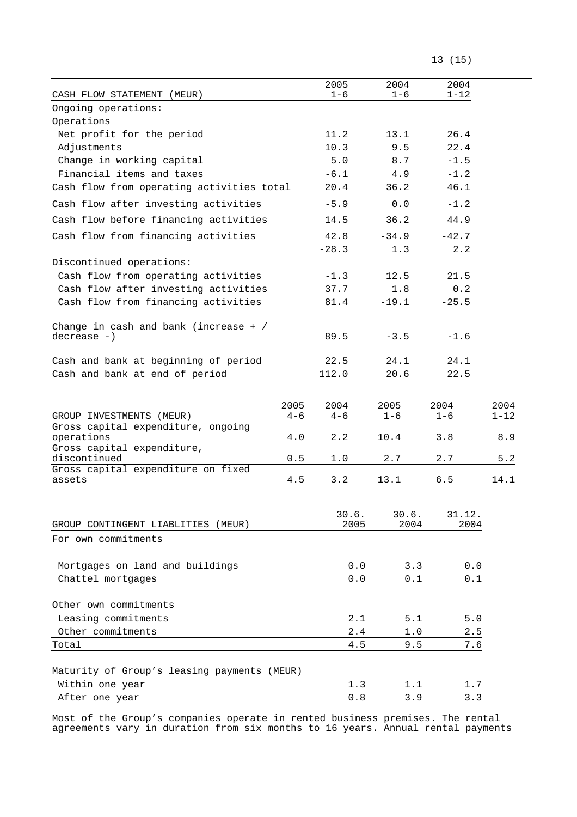|  | 13 (15) |
|--|---------|
|--|---------|

| CASH FLOW STATEMENT (MEUR)                                     |         | 2005<br>$1 - 6$ | 2004<br>$1 - 6$ | 2004<br>$1 - 12$ |          |
|----------------------------------------------------------------|---------|-----------------|-----------------|------------------|----------|
| Ongoing operations:                                            |         |                 |                 |                  |          |
| Operations                                                     |         |                 |                 |                  |          |
| Net profit for the period                                      |         | 11.2            | 13.1            | 26.4             |          |
| Adjustments                                                    |         | 10.3            | 9.5             | 22.4             |          |
| Change in working capital                                      |         | 5.0             | 8.7             | $-1.5$           |          |
| Financial items and taxes                                      |         | $-6.1$          | 4.9             | $-1.2$           |          |
| Cash flow from operating activities total                      |         | 20.4            | 36.2            | 46.1             |          |
| Cash flow after investing activities                           |         | $-5.9$          | 0.0             | $-1.2$           |          |
| Cash flow before financing activities                          |         | 14.5            | 36.2            | 44.9             |          |
| Cash flow from financing activities                            |         | 42.8            | $-34.9$         | $-42.7$          |          |
|                                                                |         | $-28.3$         | 1.3             | 2.2              |          |
| Discontinued operations:                                       |         |                 |                 |                  |          |
| Cash flow from operating activities                            |         | $-1.3$          | 12.5            | 21.5             |          |
| Cash flow after investing activities                           |         | 37.7            | 1.8             | 0.2              |          |
| Cash flow from financing activities                            |         | 81.4            | $-19.1$         | $-25.5$          |          |
| Change in cash and bank (increase $+$ /                        |         |                 |                 |                  |          |
| $decrease -)$                                                  |         | 89.5            | $-3.5$          | $-1.6$           |          |
| Cash and bank at beginning of period                           |         | 22.5            | 24.1            | 24.1             |          |
| Cash and bank at end of period                                 |         | 112.0           | 20.6            | 22.5             |          |
|                                                                |         |                 |                 |                  |          |
|                                                                | 2005    | 2004            | 2005            | 2004             | 2004     |
| GROUP INVESTMENTS (MEUR)<br>Gross capital expenditure, ongoing | $4 - 6$ | $4 - 6$         | $1 - 6$         | $1 - 6$          | $1 - 12$ |
| operations                                                     | 4.0     | 2.2             | 10.4            | 3.8              | 8.9      |
| Gross capital expenditure,                                     |         |                 |                 |                  |          |
| discontinued<br>Gross capital expenditure on fixed             | 0.5     | 1.0             | 2.7             | 2.7              | 5.2      |
| assets                                                         | 4.5     | 3.2             | 13.1            | 6.5              | 14.1     |
|                                                                |         |                 |                 |                  |          |
|                                                                |         | 30.6.           | 30.6.           | 31.12.           |          |
| GROUP CONTINGENT LIABLITIES (MEUR)                             |         | 2005            | 2004            | 2004             |          |
| For own commitments                                            |         |                 |                 |                  |          |
| Mortgages on land and buildings                                |         | 0.0             | 3.3             | 0.0              |          |
| Chattel mortgages                                              |         | 0.0             | 0.1             | 0.1              |          |
|                                                                |         |                 |                 |                  |          |
| Other own commitments                                          |         |                 |                 |                  |          |
| Leasing commitments                                            |         | 2.1             | 5.1             | $5.0$            |          |
| Other commitments                                              |         | 2.4             | 1.0             | 2.5              |          |
| Total                                                          |         | 4.5             | 9.5             | 7.6              |          |
| Maturity of Group's leasing payments (MEUR)                    |         |                 |                 |                  |          |
| Within one year                                                |         | 1.3             | 1.1             | 1.7              |          |
| After one year                                                 |         | $0.8$           | 3.9             | 3.3              |          |
|                                                                |         |                 |                 |                  |          |

Most of the Group's companies operate in rented business premises. The rental agreements vary in duration from six months to 16 years. Annual rental payments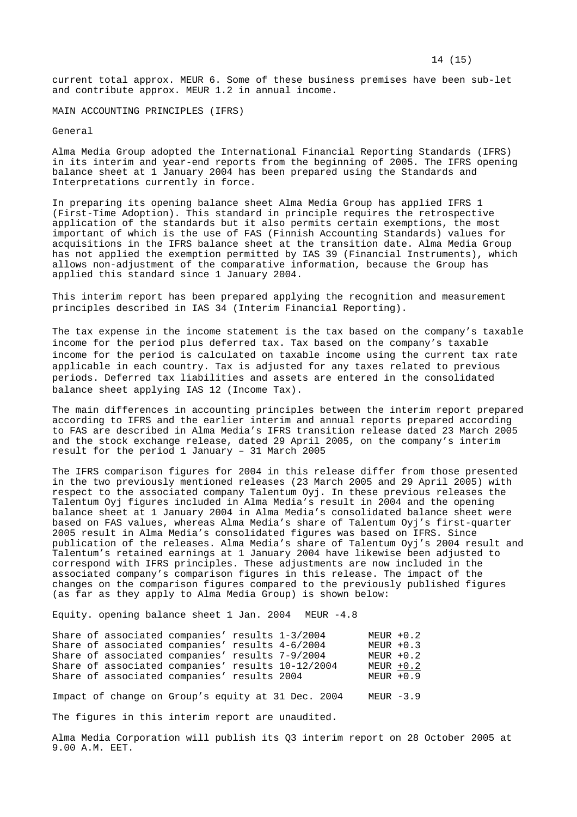current total approx. MEUR 6. Some of these business premises have been sub-let and contribute approx. MEUR 1.2 in annual income.

MAIN ACCOUNTING PRINCIPLES (IFRS)

General

Alma Media Group adopted the International Financial Reporting Standards (IFRS) in its interim and year-end reports from the beginning of 2005. The IFRS opening balance sheet at 1 January 2004 has been prepared using the Standards and Interpretations currently in force.

In preparing its opening balance sheet Alma Media Group has applied IFRS 1 (First-Time Adoption). This standard in principle requires the retrospective application of the standards but it also permits certain exemptions, the most important of which is the use of FAS (Finnish Accounting Standards) values for acquisitions in the IFRS balance sheet at the transition date. Alma Media Group has not applied the exemption permitted by IAS 39 (Financial Instruments), which allows non-adjustment of the comparative information, because the Group has applied this standard since 1 January 2004.

This interim report has been prepared applying the recognition and measurement principles described in IAS 34 (Interim Financial Reporting).

The tax expense in the income statement is the tax based on the company's taxable income for the period plus deferred tax. Tax based on the company's taxable income for the period is calculated on taxable income using the current tax rate applicable in each country. Tax is adjusted for any taxes related to previous periods. Deferred tax liabilities and assets are entered in the consolidated balance sheet applying IAS 12 (Income Tax).

The main differences in accounting principles between the interim report prepared according to IFRS and the earlier interim and annual reports prepared according to FAS are described in Alma Media's IFRS transition release dated 23 March 2005 and the stock exchange release, dated 29 April 2005, on the company's interim result for the period 1 January – 31 March 2005

The IFRS comparison figures for 2004 in this release differ from those presented in the two previously mentioned releases (23 March 2005 and 29 April 2005) with respect to the associated company Talentum Oyj. In these previous releases the Talentum Oyj figures included in Alma Media's result in 2004 and the opening balance sheet at 1 January 2004 in Alma Media's consolidated balance sheet were based on FAS values, whereas Alma Media's share of Talentum Oyj's first-quarter 2005 result in Alma Media's consolidated figures was based on IFRS. Since publication of the releases. Alma Media's share of Talentum Oyj's 2004 result and Talentum's retained earnings at 1 January 2004 have likewise been adjusted to correspond with IFRS principles. These adjustments are now included in the associated company's comparison figures in this release. The impact of the changes on the comparison figures compared to the previously published figures (as far as they apply to Alma Media Group) is shown below:

Equity. opening balance sheet 1 Jan. 2004 MEUR -4.8

|  | Share of associated companies' results 1-3/2004   |  | $MEUR + 0.2$ |
|--|---------------------------------------------------|--|--------------|
|  | Share of associated companies' results 4-6/2004   |  | $MEUR + 0.3$ |
|  | Share of associated companies' results 7-9/2004   |  | $MEUR + 0.2$ |
|  | Share of associated companies' results 10-12/2004 |  | $MEUR + 0.2$ |
|  | Share of associated companies' results 2004       |  | MEUR $+0.9$  |
|  |                                                   |  |              |

Impact of change on Group's equity at 31 Dec. 2004 MEUR -3.9

The figures in this interim report are unaudited.

Alma Media Corporation will publish its Q3 interim report on 28 October 2005 at 9.00 A.M. EET.